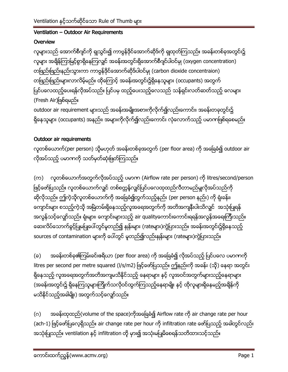## Ventilation - Outdoor Air Requirements

## Overview

လူများသည် အောက်စီဂျင်ကို ရှုသွင်း၍ ကာဗွန်ဒိုင်အောက်ဆိုဒ်ကို ရှုထုတ်ကြသည်။ အခန်းတစ်ခုအတွင်း၌ လူများ အချိန်ကြာမြင့်စွာရှိနေကြလျှင် အခန်းအတွင်းရှိအောက်စီဂျင်ပါဝင်မှု (oxygen concentration) တဖြည်းဖြည်းနည်းသွားကာ ကာဗွန်ဒိုင်အောက်ဆိုဒ်ပါဝင်မှု (carbon dioxide concentraion) တဖြည်းဖြည်းများလာလိမ့်မည်။ ထိုကြောင့် အခန်းအတွင်း၌ရှိနေသူများ (occupants) အတွက် ပြင်ပလေထည့်ပေးရန်လိုအပ်သည်။ ပြင်ပမှ ထည့်ပေးသည့်လေသည် သန့်ရှင်းလတ်ဆတ်သည့် လေများ (Fresh Air)ဖြစ်ရမည်။ outdoor air requirement များသည် အခန်းအမျိုးအစားကိုလိုက်၍လည်းကောင်း၊ အခန်းတခုတွင်း၌ ရှိနေသူများ (occupants) အနည်း၊ အများကိုလိုက်၍လည်းကောင်း လုံလောက်သည့် ပမာဏဖြစ်ရစေမည်။

# Outdoor air requirements

လူတစ်ယောက်(per person) သို့မဟုတ် အခန်းတစ်ခုအတွက် (per floor area) ကို အခြေခံ၍ outdoor air လိုအပ်သည့် ပမာဏကို သတ်မှတ်ဆုံးဖြတ်ကြသည်။

(က) လူတစ်ယောက်အတွက်လိုအပ်သည့် ပမာဏ (Airflow rate per person) ကို litres/second/person ဖြင့်ဖော်ပြသည်။ လူတစ်ယောက်လျှင် တစ်စတ္တန့်လျင်ပြင်ပလေထုထည်လီတာမည်မျှလိုအပ်သည်ကို ဆိုလိုသည်။ ဤကဲ့သိုလူတစ်ယောက်ကို အခြေခံ၍တွက်သည့်နည်း (per person နည်း) ကို ရုံးခန်း၊ ကျောင်းများ စသည့်ကဲ့သို့ အမြဲတမ်းရှိနေသည့်လူအရေအတွက်ကို အတိအကျနီးပါးသိလျှင် အသုံးပြုရန် အလွန်သင့်လျှော်သည်။ ရုံးများ၊ ကျောင်းများသည့် air qualityကောင်းကောင်းရရန်အလွန်အရေးကြီးသည်။ ဆေးလိပ်သောက်ခွင့်ပြုမပြုပေါ်တွင်မူတည်၍ နှုန်းများ (rateများ)ကွဲပြားသည်။ အခန်းအတွင်း၌ရှိနေသည့် sources of contamination များကို ပေါ်တွင် မူတည်၍လည်းနှုန်းများ (rateများ)ကွဲပြားသည်။

အခန်းတစ်ခု၏ကြမ်းခင်းဇရိယာ (per floor area) ကို အခြေခံ၍ လိုအပ်သည့် ပြင်ပလေ ပမာဏကို  $(\circ)$ litres per second per metre squared (l/s/m2) ဖြင့်ဖော်ပြသည်။ ဤနည်းကို အခန်း (သို့) နေရာ အတွင်း ရှိနေသည့် လူအရေအတွက်အတိအကျမသိနိုင်သည့် နေရာများ နှင့် လူအဝင်အတွက်များသည့်နေရာများ (အခန်းအတွင်း၌ ရှိနေကြသူများကြိုက်သလိုဝင်ထွက်ကြသည့်နေရာမျိုး နှင့် ထိုလူများရှိနေမည့်အချိန်ကို မသိနိုင်သည့်အခါမျိုး) အတွက်သင့်လျော်သည်။

အခန်းထုထည်(volume of the space)ကိုအခြေခံ၍ Airflow rate ကို air change rate per hour  $(\circ)$ (ach-1) ဖြင့်ဖော်ပြလေ့ရှိသည်။ air change rate per hour ကို infiltration rate ဖော်ပြသည့် အခါတွင်လည်း အသုံးပြုသည်။ ventilation နှင့် infiltration တို့ မှား၍ အသုံးမပြုမိစေရန်သတိထားသင့်သည်။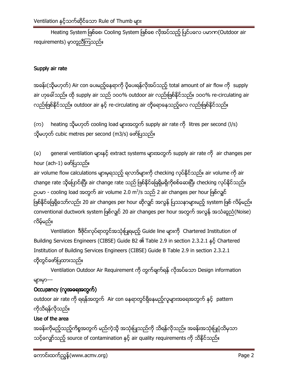Heating System ဖြစ်စေ၊ Cooling System ဖြစ်စေ လိုအပ်သည့် ပြင်ပလေ ပမာက (Outdoor air requirements) မှာတူညီကြသည်။

# Supply air rate

အခန်း(သို့မဟုတ်) Air con ပေးမည့်နေရာကို ပို့ပေးရန်လိုအပ်သည့် total amount of air flow ကို supply air ဟုခေါ်သည်။ ထို supply air သည် ၁ဝဝ% outdoor air လည်းဖြစ်နိုင်သည်။ ၁ဝဝ% re-circulating air လည်းဖြစ်နိုင်သည်။ outdoor air နှင့် re-circulating air တို့ရောနေသည့်လေ လည်းဖြစ်နိုင်သည်။

(က) heating သို့မဟုတ် cooling load များအတွက် supply air rate ကို litres per second (I/s) သို့မဟုတ် cubic metres per second (m3/s) ဖော်ပြသည်။

general ventilation များနှင့် extract systems များအတွက် supply air rate ကို air changes per  $(\circ)$ hour (ach-1) ဖော်ပြသည်။

air volume flow calculations များမှရသည့် ရလာဒ်များကို checking လုပ်နိုင်သည်။ air volume ကို air change rate သို့ပြောင်းပြီး air change rate သည် ဖြစ်နိုင်ခြေရှိမရှိကိုစစ်ဆေးပြီး checking လုပ်နိုင်သည်။ ဉပမာ - cooling load အတွက် air volume 2.0 m<sup>3</sup>/s သည် 2 air changes per hour ဖြစ်လျင် ဖြစ်နိုင်ခြေရှိသော်လည်း 20 air changes per hour ဆိုလျှင် အလွန် ပြဿနာများမည့် system ဖြစ် လိမ့်မည်။ conventional ductwork system ဖြစ်လျှင် 20 air changes per hour အတွက် အလွန် အသံဆူညံ(Noise) လိမ့်မည်။

Ventilation ဒီဇိုင်းလုပ်ရာတွင်အသုံးပြုရမည့် Guide line များကို Chartered Institution of Building Services Engineers (CIBSE) Guide B2 ၏ Table 2.9 in section 2.3.2.1 နှင့် Chartered Institution of Building Services Engineers (CIBSE) Guide B Table 2.9 in section 2.3.2.1 တိုတွင်ဖော်ပြထားသည်။

Ventilation Outdoor Air Requirement ကို တွက်ချက်ရန် လိုအပ်သော Design information များမှာ---

# Occupancy (လူအရေအတွက်)

outdoor air rate ကို ရရန်အတွက် Air con နေရာတွင်ရှိနေမည့်လူများအရေအတွက် နှင့် pattern ကိုသိရန်လိုသည်။

# Use of the area

အခန်းကိုမည့်သည့်ကိစ္စအတွက် မည်ကဲ့သို့ အသုံးပြုသည်ကို သိရန်လိုသည်။ အခန်းအသုံးပြုပုံသိမှသာ သင့်လျော်သည့် source of contamination နှင့် air quality requirements ကို သိနိုင်သည်။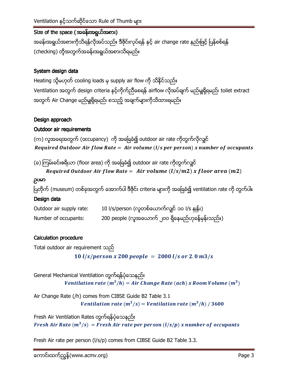# Size of the space (အခန်းအရွယ်အစား)

အခန်းအရွယ်အစားကိုသိရန်လိုအပ်သည်။ ဒီဇိုင်းလုပ်ရန် နှင့် air change rate နည်းဖြင့် ပြန်စစ်ရန် (checking) တိုအတွက်အခန်းအရွယ်အစားသိရမည်။

## System design data

Heating သို့မဟုတ် cooling loads မှ supply air flow ကို သိနိုင်သည်။ Ventilation အတွက် design criteria နှင့်ကိုက်ညီစေရန် airflow လိုအပ်ချက် မည်မှုုရှိရမည်၊ toilet extract အတွက် Air Change မည်မှုုရှိရမည်၊ စသည့် အချက်များကိုသိထားရမည်။

## Design approach

# Outdoor air requirements

(က) လူအရေအတွက် (occupancy) ကို အခြေခံ၍ outdoor air rate ကိုတွက်လိုလျှင် Required Outdoor Air flow Rate = Air volume  $(l/s$  per person) x number of occupants

(ခ) ကြမ်းခင်းဇရိယာ (floor area) ကို အခြေခံ၍ outdoor air rate ကိုတွက်လျင်

Required Outdoor Air flow Rate = Air volume 
$$
(l/s/m2)
$$
 x floor area  $(m2)$ 

#### ညပမာ

ပြတိုက် (museum) တစ်ခုအတွက် အောက်ပါ ဒီဇိုင်း criteria များကို အခြေခံ၍ ventilation rate ကို တွက်ပါ။

## Design data

| Outdoor air supply rate: | 10 l/s/person (လူတစ်ယောက်လျင် ၁ဝ l/s နှုန်း)      |
|--------------------------|---------------------------------------------------|
| Number of occupants:     | 200 people (လူအယောက် ၂၀၀ ရှိနေမည်ဟုခန့်မှန်းသည်။) |

## **Calculation procedure**

Total outdoor air requirement  $\infty$ 10  $l/s/person x 200 people = 2000 l/s or 2.0 m3/s$ 

General Mechanical Ventilation တွက်ရန်ပုံသေနည်း Ventilation rate  $(m^3/h) = Air Change Rate (ach) x Room Volume (m^3)$ 

Air Change Rate (/h) comes from CIBSE Guide B2 Table 3.1 Ventilation rate  $(m^3/s)$  = Ventilation rate  $(m^3/h)$  / 3600

Fresh Air Ventilation Rates တွက်ရန်ပုံသေနည်း Fresh Air Rate  $(m^3/s)$  = Fresh Air rate per person  $(l/s/p)$  x number of occupants

Fresh Air rate per person (I/s/p) comes from CIBSE Guide B2 Table 3.3.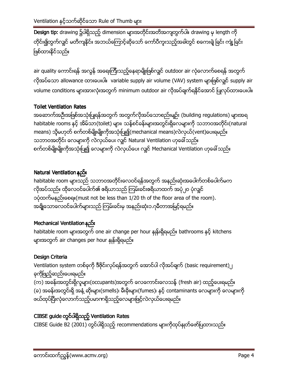Design tip: drawing ၌ပါရှိသည့် dimension များအတိုင်းအတိအကျတွက်ပါ။ drawing မှ length ကို တိုင်း၍တွက်လျှင် မတိကျနိုင်။ အဘယ်ကြောင့်ဆိုသော် ကော်ပီကူးသည့်အခါတွင် စကေးချဲ့ခြင်း ကျုံ့ခြင်း ဖြစ်ထားနိုင်သည်။

air quality ကောင်းရန် အလွန် အရေးကြီးသည့်နေရာမျိုးဖြစ်လျှင် outdoor air လုံလောက်စေရန် အတွက် လိုအပ်သော allowance ထားပေးပါ။ variable supply air volume (VAV) system များဖြစ်လျှင် supply air volume conditions များအားလုံးအတွက် minimum outdoor air လိုအပ်ချက်ရနိုင်အောင် ပြုလုပ်ထားပေးပါ။

# **Toilet Ventilation Rates**

အဆောက်အဦးအဖြစ်အသုံးပြုရန်အတွက် အတွက်လိုအပ်သောစည်းမျဉ်း (building regulations) များအရ habitable rooms နှင့် အိမ်သာ(toilet) များ၊ သန့်စင်ခန်းများအတွင်းရှိလေများကို သဘာဝအတိုင်း(natural means) သို့မဟုတ် စက်တစ်မျိုးမျိုးကိုအသုံးပြု၍(mechanical means)လဲလှယ်(vent)ပေးရမည်။ သဘာဝအတိုင်း လေများကို လဲလှယ်ပေး လျင် Natural Ventilation ဟုခေါ်သည်။ စက်တစ်မျိုးမျိုးကိုအသုံးပြု၍ လေများကို လဲလှယ်ပေး လျှင် Mechanical Ventilation ဟုခေါ် သည်။

# Natural Ventilation နည်း

habitable room များသည် သဘာဝအတိုင်းလေဝင်ရန်အတွက် အနည်းဆုံးအပေါက်တစ်ပေါက်မက လိုအပ်သည်။ ထိုလေဝင်ပေါက်၏ ဇရိယာသည် ကြမ်းခင်းဇရိယာထက် အပုံ၂ဝ ပုံလျှင် ၁ပုံထက်မနည်းစေရ။ (must not be less than 1/20 th of the floor area of the room). အချို့သောလေဝင်ပေါက်များသည် ကြမ်းခင်းမှ အနည်းဆုံး၁.၇မီတာအမြင့်ရမည်။

# Mechanical Ventilation နည်း

habitable room များအတွက် one air change per hour နှုန်းရှိရမည်။ bathrooms နှင့် kitchens များအတွက် air changes per hour နှုန်းရှိရမည်။

# Design Criteria

Ventilation system တစ်ခုကို ဒီဇိုင်းလုပ်ရန်အတွက် အောင်ပါ လိုအပ်ချက် (basic requirement)၂ ခုကိုဖြည့်ဆည်းပေးရမည်။ (က) အခန်းအတွင်းရှိလူများ(occupants)အတွက် လေကောင်းလေသန့် (fresh air) ထည့်ပေးရမည်။ (ခ) အခန်းအတွင်းရှိ အနံ့ ဆိုးများ(smells)၊ မီးခိုးများ(fumes)၊ နှင့် contaminants လေများကို လေများကို ဖယ်ထုပ်ပြီးလုံလောက်သည့်ပမာဏရှိသည့်လေများဖြင့်လဲလှယ်ပေးရမည်။

# CIBSE guide တွင်ပါရှိသည့် Ventilation Rates

CIBSE Guide B2 (2001) တွင်ပါရှိသည့် recommendations များကိုထုပ်နှုတ်ဖော်ပြထားသည်။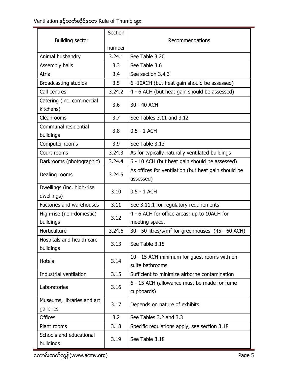# Ventilation နှင့်သက်ဆိုင်သော Rule of Thumb များ<br>————————————————————

|                                         | Section | Recommendations                                                  |  |
|-----------------------------------------|---------|------------------------------------------------------------------|--|
| <b>Building sector</b>                  |         |                                                                  |  |
|                                         | number  |                                                                  |  |
| Animal husbandry                        | 3.24.1  | See Table 3.20                                                   |  |
| Assembly halls                          | 3.3     | See Table 3.6                                                    |  |
| Atria                                   | 3.4     | See section 3.4.3                                                |  |
| <b>Broadcasting studios</b>             | 3.5     | 6 -10ACH (but heat gain should be assessed)                      |  |
| Call centres                            | 3.24.2  | 4 - 6 ACH (but heat gain should be assessed)                     |  |
| Catering (inc. commercial<br>kitchens)  | 3.6     | 30 - 40 ACH                                                      |  |
| Cleanrooms                              | 3.7     | See Tables 3.11 and 3.12                                         |  |
| Communal residential<br>buildings       | 3.8     | $0.5 - 1$ ACH                                                    |  |
| Computer rooms                          | 3.9     | See Table 3.13                                                   |  |
| Court rooms                             | 3.24.3  | As for typically naturally ventilated buildings                  |  |
| Darkrooms (photographic)                | 3.24.4  | 6 - 10 ACH (but heat gain should be assessed)                    |  |
| Dealing rooms                           | 3.24.5  | As offices for ventilation (but heat gain should be<br>assessed) |  |
| Dwellings (inc. high-rise<br>dwellings) | 3.10    | $0.5 - 1$ ACH                                                    |  |
| Factories and warehouses                | 3.11    | See 3.11.1 for regulatory requirements                           |  |
| High-rise (non-domestic)                | 3.12    | 4 - 6 ACH for office areas; up to 10ACH for                      |  |
| buildings                               |         | meeting space.                                                   |  |
| Horticulture                            | 3.24.6  | 30 - 50 litres/s/m <sup>2</sup> for greenhouses $(45 - 60$ ACH)  |  |
| Hospitals and health care<br>buildings  | 3.13    | See Table 3.15                                                   |  |
| <b>Hotels</b>                           | 3.14    | 10 - 15 ACH minimum for guest rooms with en-<br>suite bathrooms  |  |
| Industrial ventilation                  | 3.15    | Sufficient to minimize airborne contamination                    |  |
| Laboratories                            | 3.16    | 6 - 15 ACH (allowance must be made for fume<br>cupboards)        |  |
| Museums, libraries and art<br>galleries | 3.17    | Depends on nature of exhibits                                    |  |
| <b>Offices</b>                          | 3.2     | See Tables 3.2 and 3.3                                           |  |
| Plant rooms                             | 3.18    | Specific regulations apply, see section 3.18                     |  |
| Schools and educational<br>buildings    | 3.19    | See Table 3.18                                                   |  |

<del>-<br>ကောင်းထက်ညွှန် (www.acmv.org)</del>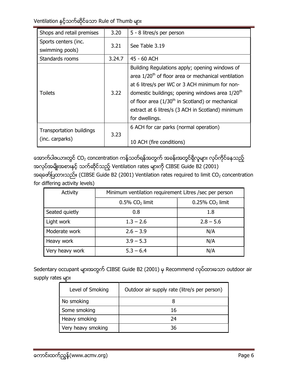| Shops and retail premises                          | 3.20   | 5 - 8 litres/s per person                                                                                                                                                                                                                                                                                                                                       |
|----------------------------------------------------|--------|-----------------------------------------------------------------------------------------------------------------------------------------------------------------------------------------------------------------------------------------------------------------------------------------------------------------------------------------------------------------|
| Sports centers (inc.<br>swimming pools)            | 3.21   | See Table 3.19                                                                                                                                                                                                                                                                                                                                                  |
| Standards rooms                                    | 3.24.7 | 45 - 60 ACH                                                                                                                                                                                                                                                                                                                                                     |
| <b>Toilets</b>                                     | 3.22   | Building Regulations apply; opening windows of<br>area 1/20 <sup>th</sup> of floor area or mechanical ventilation<br>at 6 litres/s per WC or 3 ACH minimum for non-<br>domestic buildings; opening windows area 1/20 <sup>th</sup><br>of floor area $(1/30th$ in Scotland) or mechanical<br>extract at 6 litres/s (3 ACH in Scotland) minimum<br>for dwellings. |
| <b>Transportation buildings</b><br>(inc. carparks) | 3.23   | 6 ACH for car parks (normal operation)<br>10 ACH (fire conditions)                                                                                                                                                                                                                                                                                              |

အောက်ပါဇယားတွင် CO<sub>2</sub> concentration ကန့်သတ်ရန်အတွက် အခန်းအတွင်ရှိလူများ လုပ်ကိုင်နေသည့် အလုပ်အမျိုးအစားနှင့် သက်ဆိုင်သည့် Ventilation rates များကို CIBSE Guide B2 (2001) အရဖော်ပြထားသည်။ (CIBSE Guide B2 (2001) Ventilation rates required to limit CO<sub>2</sub> concentration for differing activity levels)

| Activity        | Minimum ventilation requirement Litres / sec per person |                                |  |
|-----------------|---------------------------------------------------------|--------------------------------|--|
|                 | $0.5\%$ CO <sub>2</sub> limit                           | $0.25\%$ CO <sub>2</sub> limit |  |
| Seated quietly  | 0.8                                                     | 1.8                            |  |
| Light work      | $1.3 - 2.6$                                             | $2.8 - 5.6$                    |  |
| Moderate work   | $2.6 - 3.9$                                             | N/A                            |  |
| Heavy work      | $3.9 - 5.3$                                             | N/A                            |  |
| Very heavy work | $5.3 - 6.4$                                             | N/A                            |  |

Sedentary occupant များအတွက် CIBSE Guide B2 (2001) မှ Recommend လုပ်ထားသော outdoor air supply rates up:

| Level of Smoking   | Outdoor air supply rate (litre/s per person) |
|--------------------|----------------------------------------------|
| No smoking         |                                              |
| Some smoking       | 16                                           |
| Heavy smoking      | 24                                           |
| Very heavy smoking | 36                                           |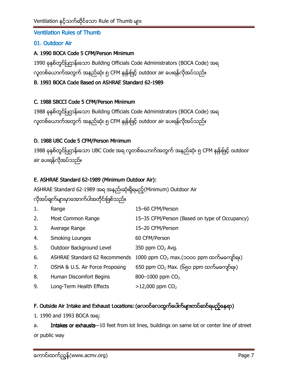## **Ventilation Rules of Thumb**

## 01. Outdoor Air

#### A. 1990 BOCA Code 5 CFM/Person Minimum

1990 ခုနစ်တွင်ပြဌာန်းသော Building Officials Code Administrators (BOCA Code) အရ လူတစ်ယောက်အတွက် အနည်ဆုံး ၅ CFM နှုန်းဖြင့် outdoor air ပေးရန်လိုအပ်သည်။

## B. 1993 BOCA Code Based on ASHRAE Standard 62-1989

#### C. 1988 SBCCI Code 5 CFM/Person Minimum

1988 ခုနစ်တွင်ပြဌာန်းသော Building Officials Code Administrators (BOCA Code) အရ လူတစ်ယောက်အတွက် အနည်ဆုံး ၅ CFM နှုန်းဖြင့် outdoor air ပေးရန်လိုအပ်သည်။

#### D. 1988 UBC Code 5 CFM/Person Minimum

1988 ခုနစ်တွင်ပြဌာန်းသော UBC Code အရ လူတစ်ယောက်အတွက် အနည်ဆုံး ၅ CFM နှုန်းဖြင့် outdoor air ပေးရန်လိုအပ်သည်။

## E. ASHRAE Standard 62-1989 (Minimum Outdoor Air):

ASHRAE Standard 62-1989 အရ အနည်းဆုံးရှိရမည့်(Minimum) Outdoor Air

# လိုအပ်ရျက်များမှာအောက်ပါအတိုင်းဖြစ်သည်။

| 1. | Range                                | 15-60 CFM/Person                              |
|----|--------------------------------------|-----------------------------------------------|
| 2. | Most Common Range                    | 15-35 CFM/Person (Based on type of Occupancy) |
| 3. | Average Range                        | 15-20 CFM/Person                              |
| 4. | <b>Smoking Lounges</b>               | 60 CFM/Person                                 |
| 5. | Outdoor Background Level             | 350 ppm $CO2$ Avg.                            |
| 6. | <b>ASHRAE Standard 62 Recommends</b> | 1000 ppm $CO2$ max.(၁၀၀၀ ppm ထက်မကျော်ရ။)     |
| 7. | OSHA & U.S. Air Force Proposing      | 650 ppm $CO2$ Max. (၆၅ဝ ppm ထက်မကျော်ရ။)      |
| 8. | Human Discomfort Begins              | 800-1000 ppm CO <sub>2</sub>                  |
| 9. | Long-Term Health Effects             | $>12,000$ ppm $CO2$                           |

## F. Outside Air Intake and Exhaust Locations: (လေဝင်လေထွက်ပေါက်များတပ်ဆင်ရမည့်နေရာ)

1. 1990 and 1993 BOCA အရ:

Intakes or exhausts-10 feet from lot lines, buildings on same lot or center line of street a. or public way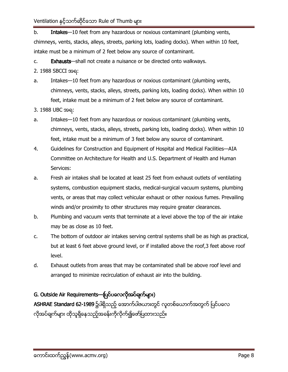$b<sub>1</sub>$ Intakes-10 feet from any hazardous or noxious contaminant (plumbing vents, chimneys, vents, stacks, alleys, streets, parking lots, loading docks). When within 10 feet, intake must be a minimum of 2 feet below any source of contaminant.

Exhausts-shall not create a nuisance or be directed onto walkways.  $C_{1}$ 

- 2. 1988 SBCCI အရ:
- Intakes-10 feet from any hazardous or noxious contaminant (plumbing vents, a. chimneys, vents, stacks, alleys, streets, parking lots, loading docks). When within 10 feet, intake must be a minimum of 2 feet below any source of contaminant.
- 3. 1988 UBC အရ:
- Intakes-10 feet from any hazardous or noxious contaminant (plumbing vents, a. chimneys, vents, stacks, alleys, streets, parking lots, loading docks). When within 10 feet, intake must be a minimum of 3 feet below any source of contaminant.
- 4. Guidelines for Construction and Equipment of Hospital and Medical Facilities—AIA Committee on Architecture for Health and U.S. Department of Health and Human Services:
- a. Fresh air intakes shall be located at least 25 feet from exhaust outlets of ventilating systems, combustion equipment stacks, medical-surgical vacuum systems, plumbing vents, or areas that may collect vehicular exhaust or other noxious fumes. Prevailing winds and/or proximity to other structures may require greater clearances.
- b. Plumbing and vacuum vents that terminate at a level above the top of the air intake may be as close as 10 feet.
- The bottom of outdoor air intakes serving central systems shall be as high as practical,  $\mathsf{C}$ . but at least 6 feet above ground level, or if installed above the roof, 3 feet above roof level.
- d. Exhaust outlets from areas that may be contaminated shall be above roof level and arranged to minimize recirculation of exhaust air into the building.

# G. Outside Air Requirements-ပြင်ပလေလိုအပ်ချက်များ)

ASHRAE Standard 62-1989 ၌ပါရှိသည့် အောက်ပါဇယားတွင် လူတစ်ယောက်အတွက် ပြင်ပလေ လိုအပ်ချက်များ ထိုသူရှိနေသည့်အခန်းကိုလိုက်၍ဖော်ပြထားသည်။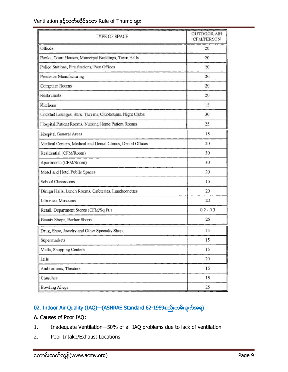| <b>TYPE OF SPACE</b>                                        | <b>OUTDOOR AIR</b><br><b>CFM/PERSON</b> |
|-------------------------------------------------------------|-----------------------------------------|
| Offices                                                     | 20                                      |
| Banks, Court Houses, Municipal Buildings, Town Halls        | 20                                      |
| Police Stations, Fire Stations, Post Offices                | 20                                      |
| Precision Manufacturing                                     | 20                                      |
| Computer Rooms                                              | 20                                      |
| Restaurants                                                 | 20                                      |
| Kitchens                                                    | 15                                      |
| Cocktail Lounges, Bars, Taverns, Clubhouses, Night Clubs    | 30                                      |
| I Iospital Patient Rooms, Nursing Home Patient Rooms        | 25                                      |
| Hospital General Areas                                      | 15                                      |
| Medical Centers, Medical and Dental Clinics, Dental Offices | 20                                      |
| Residential (CFM/Room)                                      | 30                                      |
| Apartments (CFM/Room)                                       | 30                                      |
| Motel and Hotel Public Spaces                               | 20                                      |
| School Classrooms                                           | 15                                      |
| Dinign Halls, Lunch Rooms, Cafeterias, Lunchconcttes        | 20                                      |
| Libraties, Museums                                          | 20                                      |
| Retail, Department Stores (CFM/Sq.Ft.)                      | $0.2 - 0.3$                             |
| Beauty Shops, Barber Shops                                  | 25                                      |
| Drug, Shoe, Jewelry and Other Specialty Shops               | 15                                      |
| Supermarkets                                                | 15                                      |
| Malls, Shopping Centers                                     | 15                                      |
| Jails                                                       | 20                                      |
| Auditoriums, Theaters                                       | 15                                      |
| Churches                                                    | 15                                      |
| <b>Bowling Alleys</b>                                       | 25                                      |

# 02. Indoor Air Quality (IAQ) (ASHRAE Standard 62-1989စည်းကမ်းချက်အရ)

#### A. Causes of Poor IAQ:

- Inadequate Ventilation-50% of all IAQ problems due to lack of ventilation  $1.$
- Poor Intake/Exhaust Locations  $2.$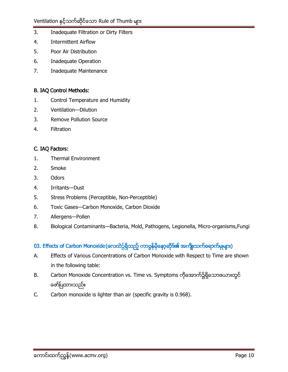- $\overline{3}$ . Inadequate Filtration or Dirty Filters
- 4. **Intermittent Airflow**
- 5. Poor Air Distribution
- 6. **Inadequate Operation**
- 7. Inadequate Maintenance

#### **B. IAQ Control Methods:**

- $\mathbf{1}$ . Control Temperature and Humidity
- $2.$ Ventilation-Dilution
- $\overline{3}$ . **Remove Pollution Source**
- $4.$ Filtration

#### C. IAQ Factors:

- $1.$ **Thermal Environment**
- $2.$ Smoke
- 3. Odors
- 4. Irritants-Dust
- 5. Stress Problems (Perceptible, Non-Perceptible)
- Toxic Gases-Carbon Monoxide, Carbon Dioxide 6.
- 7. Allergens-Pollen
- Biological Contaminants-Bacteria, Mold, Pathogens, Legionella, Micro-organisms, Fungi 8.

# 03. Effects of Carbon Monoxide (လေထဲ၌ရှိသည့် ကာဗွန်မှိနော့ဆိုဒ်၏ အကျိုးသက်ရောက်မှုများ)

- A. Effects of Various Concentrations of Carbon Monoxide with Respect to Time are shown in the following table:
- Carbon Monoxide Concentration vs. Time vs. Symptoms ကိုအောက်၌ရှိသောဇယားတွင် **B.** ဖော်ပြထားသည်။
- $C.$ Carbon monoxide is lighter than air (specific gravity is 0.968).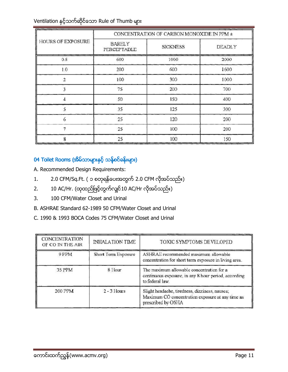| <b>HOURS OF EXPOSURE</b> | CONCENTRATION OF CARBON MONOXIDE IN PPM ± |                 |               |  |
|--------------------------|-------------------------------------------|-----------------|---------------|--|
|                          | <b>BARELY</b><br>PERCEPTABLE              | <b>SICKNESS</b> | <b>DEADLY</b> |  |
| 0.5                      | 600                                       | 1000            | 2000          |  |
| 1.0                      | 200                                       | 600             | 1600          |  |
| 2                        | 100                                       | 300             | 1000          |  |
|                          | 75                                        | 200             | 700           |  |
|                          | 50                                        | 150             | 400           |  |
|                          | 35                                        | 125             | 300           |  |
| 6                        | 25                                        | 120             | 200           |  |
|                          | 25                                        | 100             | 200           |  |
|                          | 25                                        | 100             | 150           |  |

# 04 Toilet Rooms (အိမ်သာများနှင့် သန်စင်ခန်းများ)

A. Recommended Design Requirements:

- 2.0 CFM/Sq.Ft. ( ၁ စတုရန်ပေးအတွက် 2.0 CFM လိုအပ်သည်။)  $1.$
- 10 AC/Hr. (ထုထည်ဖြင့်တွက်လျှင်10 AC/Hr လိုအပ်သည်။)  $2.$
- 100 CFM/Water Closet and Urinal  $3.$
- B. ASHRAE Standard 62-1989 50 CFM/Water Closet and Urinal
- C. 1990 & 1993 BOCA Codes 75 CFM/Water Closet and Urinal

| <b>CONCENTRATION</b><br>OF CO IN THE AIR | <b>INHALATION TIME</b> | TOXIC SYMPTOMS DEVELOPED                                                                                                 |
|------------------------------------------|------------------------|--------------------------------------------------------------------------------------------------------------------------|
| 9 PPM                                    | Short Term Exposure    | ASHRAE recommended maximum allowable<br>concentration for short term exposure in living area.                            |
| 35 PPM                                   | 8 Hour                 | The maximum allowable concentration for a<br>continuous exposure, in any 8 hour period, according<br>to federal law.     |
| 200 PPM                                  | $2 - 3$ Hours          | Slight headache, tiredness, dizziness, nausea;<br>Maximum CO concentration exposure at any time as<br>prescribed by OSHA |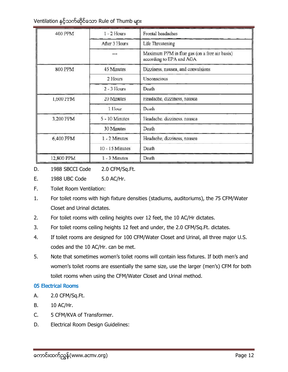| 400 PPM        | $1 - 2$ Hours   | Frontal headaches                                                         |
|----------------|-----------------|---------------------------------------------------------------------------|
|                | After 3 Hours   | Life Threatening                                                          |
|                | ---             | Maximum PPM in flue gas (on a free air basis)<br>according to EPA and AGA |
| <b>800 PPM</b> | 45 Minutes      | Dizziness, nausea, and convulsions                                        |
|                | 2 Hours         | Unconscious                                                               |
|                | $2 - 3$ Hours   | Death                                                                     |
| 1,600 PPM      | 20 Minutes      | Headache, dizziness, nausea                                               |
|                | 1 Hour          | Death                                                                     |
| 3,200 PPM      | 5 - 10 Minutes  | Headache, dizziness, nausea                                               |
|                | 30 Minutes      | Death                                                                     |
| 6,400 PPM      | 1 - 2 Minutes   | Headache, dizziness, nausea                                               |
|                | 10 - 15 Minutes | Death                                                                     |
| 12,800 PPM     | $1 - 3$ Minutes | Death                                                                     |

D. 1988 SBCCI Code 2.0 CFM/Sq.Ft.

- E. 1988 UBC Code 5.0 AC/Hr.
- E. **Toilet Room Ventilation:**
- $1.$ For toilet rooms with high fixture densities (stadiums, auditoriums), the 75 CFM/Water Closet and Urinal dictates.
- $2.$ For toilet rooms with ceiling heights over 12 feet, the 10 AC/Hr dictates.
- $3.$ For toilet rooms ceiling heights 12 feet and under, the 2.0 CFM/Sq.Ft. dictates.
- 4. If toilet rooms are designed for 100 CFM/Water Closet and Urinal, all three major U.S. codes and the 10 AC/Hr. can be met.
- 5. Note that sometimes women's toilet rooms will contain less fixtures. If both men's and women's toilet rooms are essentially the same size, use the larger (men's) CFM for both toilet rooms when using the CFM/Water Closet and Urinal method.

#### **05 Electrical Rooms**

- А. 2.0 CFM/Sq.Ft.
- **B.** 10 AC/Hr.
- $C_{\cdot}$ 5 CFM/KVA of Transformer.
- Electrical Room Design Guidelines: D.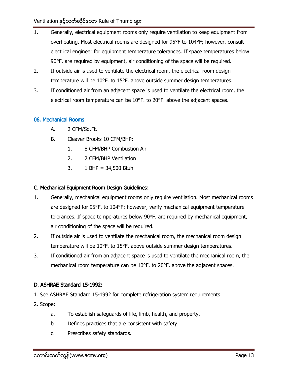- $1.$ Generally, electrical equipment rooms only require ventilation to keep equipment from overheating. Most electrical rooms are designed for 95°F to 104°F; however, consult electrical engineer for equipment temperature tolerances. If space temperatures below 90°F. are required by equipment, air conditioning of the space will be required.
- $2.$ If outside air is used to ventilate the electrical room, the electrical room design temperature will be 10°F. to 15°F. above outside summer design temperatures.
- $3.$ If conditioned air from an adjacent space is used to ventilate the electrical room, the electrical room temperature can be  $10^{\circ}$ F. to  $20^{\circ}$ F. above the adjacent spaces.

#### 06. Mechanical Rooms

- А. 2 CFM/Sq.Ft.
- **B.** Cleaver Brooks 10 CFM/BHP:
	- $1<sub>1</sub>$ 8 CFM/BHP Combustion Air
	- $2.$ 2 CFM/BHP Ventilation
	- $3.$ 1 BHP =  $34,500$  Btuh

#### C. Mechanical Equipment Room Design Guidelines:

- $1<sub>1</sub>$ Generally, mechanical equipment rooms only require ventilation. Most mechanical rooms are designed for 95°F, to 104°F; however, verify mechanical equipment temperature tolerances. If space temperatures below 90°F. are required by mechanical equipment, air conditioning of the space will be required.
- $2.$ If outside air is used to ventilate the mechanical room, the mechanical room design temperature will be 10°F. to 15°F. above outside summer design temperatures.
- $3.$ If conditioned air from an adjacent space is used to ventilate the mechanical room, the mechanical room temperature can be 10°F. to 20°F. above the adjacent spaces.

#### D. ASHRAE Standard 15-1992:

- 1. See ASHRAE Standard 15-1992 for complete refrigeration system requirements.
- 2. Scope:
	- To establish safeguards of life, limb, health, and property.  $a_{\cdot}$
	- $b.$ Defines practices that are consistent with safety.
	- Prescribes safety standards. c.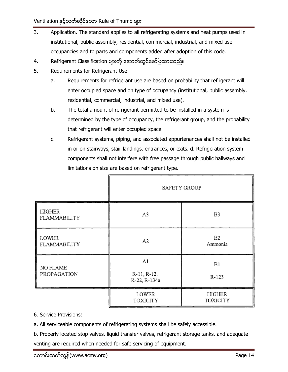- $\overline{3}$ . Application. The standard applies to all refrigerating systems and heat pumps used in institutional, public assembly, residential, commercial, industrial, and mixed use occupancies and to parts and components added after adoption of this code.
- Refrigerant Classification များကို အောက်တွင်ဖော်ပြထားသည်။ 4.
- 5. Requirements for Refrigerant Use:
	- Requirements for refrigerant use are based on probability that refrigerant will a. enter occupied space and on type of occupancy (institutional, public assembly, residential, commercial, industrial, and mixed use).
	- $b.$ The total amount of refrigerant permitted to be installed in a system is determined by the type of occupancy, the refrigerant group, and the probability that refrigerant will enter occupied space.
	- c. Refrigerant systems, piping, and associated appurtenances shall not be installed in or on stairways, stair landings, entrances, or exits. d. Refrigeration system components shall not interfere with free passage through public hallways and limitations on size are based on refrigerant type.

|                         | <b>SAFETY GROUP</b>                         |                    |  |
|-------------------------|---------------------------------------------|--------------------|--|
| HIGHER<br>FLAMMABILITY  | A <sub>3</sub>                              | B <sub>3</sub>     |  |
| LOWER<br>FLAMMABILITY   | B <sub>2</sub><br>A <sub>2</sub><br>Ammonia |                    |  |
| NO FLAME<br>PROPAGATION | A1<br>R-11, R-12,<br>R-22, R-134a           | Bl<br>R-123        |  |
|                         | LOWER<br>TOXICITY                           | HIGHER<br>TOXICITY |  |

- 6. Service Provisions:
- a. All serviceable components of refrigerating systems shall be safely accessible.

b. Properly located stop valves, liquid transfer valves, refrigerant storage tanks, and adequate venting are required when needed for safe servicing of equipment.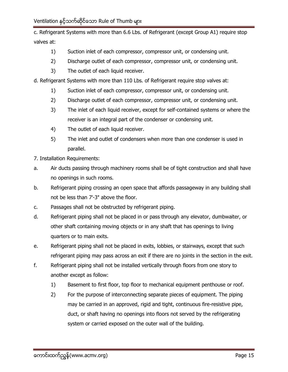c. Refrigerant Systems with more than 6.6 Lbs. of Refrigerant (except Group A1) require stop valves at:

- Suction inlet of each compressor, compressor unit, or condensing unit.  $1)$
- $2)$ Discharge outlet of each compressor, compressor unit, or condensing unit.
- $3)$ The outlet of each liquid receiver.
- d. Refrigerant Systems with more than 110 Lbs. of Refrigerant require stop valves at:
	- Suction inlet of each compressor, compressor unit, or condensing unit.  $1)$
	- $2)$ Discharge outlet of each compressor, compressor unit, or condensing unit.
	- $3)$ The inlet of each liquid receiver, except for self-contained systems or where the receiver is an integral part of the condenser or condensing unit.
	- $4)$ The outlet of each liquid receiver.
	- $5)$ The inlet and outlet of condensers when more than one condenser is used in parallel.
- 7. Installation Requirements:
- Air ducts passing through machinery rooms shall be of tight construction and shall have a. no openings in such rooms.
- $b.$ Refrigerant piping crossing an open space that affords passageway in any building shall not be less than 7'-3" above the floor.
- Passages shall not be obstructed by refrigerant piping.  $C_{1}$
- d. Refrigerant piping shall not be placed in or pass through any elevator, dumbwaiter, or other shaft containing moving objects or in any shaft that has openings to living quarters or to main exits.
- Refrigerant piping shall not be placed in exits, lobbies, or stairways, except that such e. refrigerant piping may pass across an exit if there are no joints in the section in the exit.
- f. Refrigerant piping shall not be installed vertically through floors from one story to another except as follow:
	- Basement to first floor, top floor to mechanical equipment penthouse or roof.  $1)$
	- $2)$ For the purpose of interconnecting separate pieces of equipment. The piping may be carried in an approved, rigid and tight, continuous fire-resistive pipe, duct, or shaft having no openings into floors not served by the refrigerating system or carried exposed on the outer wall of the building.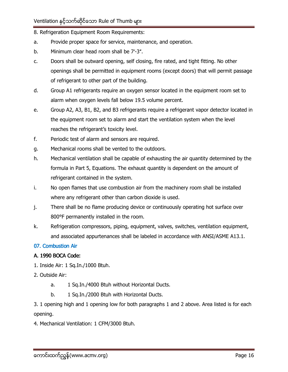- 8. Refrigeration Equipment Room Requirements:
- Provide proper space for service, maintenance, and operation. a.
- Minimum clear head room shall be 7'-3". b.
- Doors shall be outward opening, self closing, fire rated, and tight fitting. No other c. openings shall be permitted in equipment rooms (except doors) that will permit passage of refrigerant to other part of the building.
- d. Group A1 refrigerants require an oxygen sensor located in the equipment room set to alarm when oxygen levels fall below 19.5 volume percent.
- Group A2, A3, B1, B2, and B3 refrigerants require a refrigerant vapor detector located in e. the equipment room set to alarm and start the ventilation system when the level reaches the refrigerant's toxicity level.
- $f_{\cdot}$ Periodic test of alarm and sensors are required.
- Mechanical rooms shall be vented to the outdoors. g.
- h. Mechanical ventilation shall be capable of exhausting the air quantity determined by the formula in Part 5, Equations. The exhaust quantity is dependent on the amount of refrigerant contained in the system.
- i. No open flames that use combustion air from the machinery room shall be installed where any refrigerant other than carbon dioxide is used.
- There shall be no flame producing device or continuously operating hot surface over j. 800°F permanently installed in the room.
- k. Refrigeration compressors, piping, equipment, valves, switches, ventilation equipment, and associated appurtenances shall be labeled in accordance with ANSI/ASME A13.1.

#### 07. Combustion Air

#### A. 1990 BOCA Code:

- 1. Inside Air: 1 Sq. In./1000 Btuh.
- 2. Outside Air:
	- 1 Sq.In./4000 Btuh without Horizontal Ducts. a.
	- $b<sub>1</sub>$ 1 Sq.In./2000 Btuh with Horizontal Ducts.

3. 1 opening high and 1 opening low for both paragraphs 1 and 2 above. Area listed is for each opening.

4. Mechanical Ventilation: 1 CFM/3000 Btuh.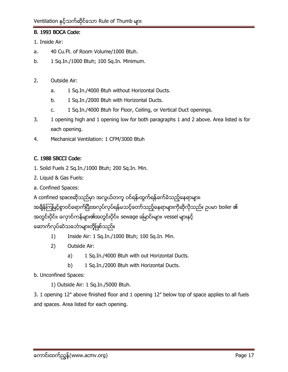## **B. 1993 BOCA Code:**

1. Inside Air:

- 40 Cu.Ft. of Room Volume/1000 Btuh. a.
- 1 Sq.In./1000 Btuh; 100 Sq.In. Minimum. b.
- $2.$ Outside Air:
	- 1 Sq.In./4000 Btuh without Horizontal Ducts. a.
	- b. 1 Sq.In./2000 Btuh with Horizontal Ducts.
	- 1 Sq.In./4000 Btuh for Floor, Ceiling, or Vertical Duct openings.  $C_{1}$
- 3. 1 opening high and 1 opening low for both paragraphs 1 and 2 above. Area listed is for each opening.
- 4. Mechanical Ventilation: 1 CFM/3000 Btuh

#### C. 1988 SBCCI Code:

- 1. Solid Fuels 2 Sq.In./1000 Btuh; 200 Sq.In. Min.
- 2. Liquid & Gas Fuels:
- a. Confined Spaces:
- A confined spaceဆိုသည်မှာ အလွယ်တကူ ဝင်ရန်၊ထွက်ရန်ခက်ခဲသည့်နေရာများ၊

အရှိန်ကြမြင့်စွာဝင်ရောက်ပြီးအလုပ်လုပ်ရန်မသင့်တော်သည့်နေရာများကိုဆိုလိုသည်။ ဥပမာ boiler ၏ အတွင်းပိုင်း၊ လှောင်ကန်များ၏အတွင်းပိုင်း၊ sewage မြောင်းများ၊ vessel များနှင့် ဆောက်လုပ်ဆဲသင်္ဘောများတို့ဖြစ်သည်။

- $1)$ Inside Air: 1 Sq.In./1000 Btuh; 100 Sq.In. Min.
- $2)$ Outside Air:
	- 1 Sq.In./4000 Btuh with out Horizontal Ducts. a)
	- b) 1 Sq.In./2000 Btuh with Horizontal Ducts.
- b. Unconfined Spaces:
	- 1) Outside Air: 1 Sq.In./5000 Btuh.

3. 1 opening 12" above finished floor and 1 opening 12" below top of space applies to all fuels and spaces. Area listed for each opening.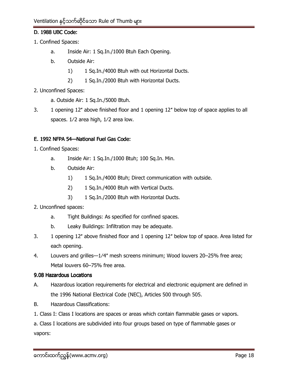#### D. 1988 UBC Code:

- 1. Confined Spaces:
	- a. Inside Air: 1 Sq.In./1000 Btuh Each Opening.
	- $h$ Outside Air:
		- $1)$ 1 Sq.In./4000 Btuh with out Horizontal Ducts.
		- $2)$ 1 Sq.In./2000 Btuh with Horizontal Ducts.
- 2. Unconfined Spaces:
	- a. Outside Air: 1 Sq.In./5000 Btuh.
- $3.$ 1 opening 12" above finished floor and 1 opening 12" below top of space applies to all spaces. 1/2 area high, 1/2 area low.

#### E. 1992 NFPA 54-National Fuel Gas Code:

- 1. Confined Spaces:
	- $a<sub>z</sub>$ Inside Air: 1 Sq. In./1000 Btuh; 100 Sq. In. Min.
	- b. Outside Air:
		- $1)$ 1 Sq.In./4000 Btuh; Direct communication with outside.
		- $2)$ 1 Sq.In./4000 Btuh with Vertical Ducts.
		- $3)$ 1 Sq.In./2000 Btuh with Horizontal Ducts.
- 2. Unconfined spaces:
	- Tight Buildings: As specified for confined spaces. a.
	- $b<sub>1</sub>$ Leaky Buildings: Infiltration may be adequate.
- $3.$ 1 opening 12" above finished floor and 1 opening 12" below top of space. Area listed for each opening.
- $4.$ Louvers and grilles-1/4" mesh screens minimum; Wood louvers 20-25% free area; Metal louvers 60-75% free area.

#### 9.08 Hazardous Locations

- А. Hazardous location requirements for electrical and electronic equipment are defined in the 1996 National Electrical Code (NEC), Articles 500 through 505.
- Hazardous Classifications:  $\mathsf{B}$
- 1. Class I: Class I locations are spaces or areas which contain flammable gases or vapors.

a. Class I locations are subdivided into four groups based on type of flammable gases or vapors: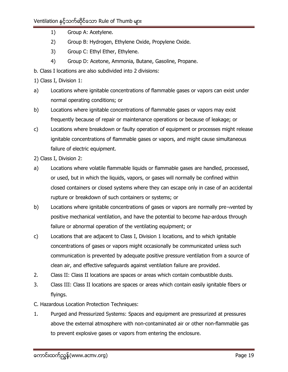- $1)$ Group A: Acetylene.
- Group B: Hydrogen, Ethylene Oxide, Propylene Oxide.  $(2)$
- 3) Group C: Ethyl Ether, Ethylene.
- Group D: Acetone, Ammonia, Butane, Gasoline, Propane.  $4)$
- b. Class I locations are also subdivided into 2 divisions:
- 1) Class I, Division 1:
- Locations where ignitable concentrations of flammable gases or vapors can exist under a) normal operating conditions; or
- b) Locations where ignitable concentrations of flammable gases or vapors may exist frequently because of repair or maintenance operations or because of leakage; or
- $\mathsf{C}$ Locations where breakdown or faulty operation of equipment or processes might release ignitable concentrations of flammable gases or vapors, and might cause simultaneous failure of electric equipment.
- 2) Class I, Division 2:
- Locations where volatile flammable liquids or flammable gases are handled, processed, a) or used, but in which the liquids, vapors, or gases will normally be confined within closed containers or closed systems where they can escape only in case of an accidental rupture or breakdown of such containers or systems; or
- b) Locations where ignitable concentrations of gases or vapors are normally pre¬vented by positive mechanical ventilation, and have the potential to become haz-ardous through failure or abnormal operation of the ventilating equipment; or
- $\mathsf{C}$ Locations that are adjacent to Class I, Division 1 locations, and to which ignitable concentrations of gases or vapors might occasionally be communicated unless such communication is prevented by adequate positive pressure ventilation from a source of clean air, and effective safeguards against ventilation failure are provided.
- $2.$ Class II: Class II locations are spaces or areas which contain combustible dusts.
- $3.$ Class III: Class II locations are spaces or areas which contain easily ignitable fibers or flyings.
- C. Hazardous Location Protection Techniques:
- Purged and Pressurized Systems: Spaces and equipment are pressurized at pressures  $\mathbf{1}$ . above the external atmosphere with non-contaminated air or other non-flammable gas to prevent explosive gases or vapors from entering the enclosure.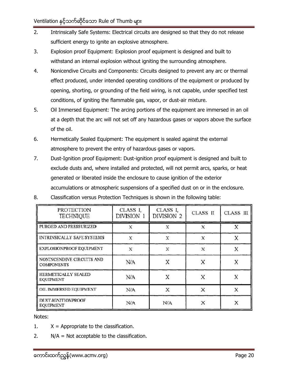- $2.$ Intrinsically Safe Systems: Electrical circuits are designed so that they do not release sufficient energy to ignite an explosive atmosphere.
- 3. Explosion proof Equipment: Explosion proof equipment is designed and built to withstand an internal explosion without igniting the surrounding atmosphere.
- 4. Nonicendive Circuits and Components: Circuits designed to prevent any arc or thermal effect produced, under intended operating conditions of the equipment or produced by opening, shorting, or grounding of the field wiring, is not capable, under specified test conditions, of igniting the flammable gas, vapor, or dust-air mixture.
- 5. Oil Immersed Equipment: The arcing portions of the equipment are immersed in an oil at a depth that the arc will not set off any hazardous gases or vapors above the surface of the oil.
- 6. Hermetically Sealed Equipment: The equipment is sealed against the external atmosphere to prevent the entry of hazardous gases or vapors.
- $7.$ Dust-Ignition proof Equipment: Dust-ignition proof equipment is designed and built to exclude dusts and, where installed and protected, will not permit arcs, sparks, or heat generated or liberated inside the enclosure to cause ignition of the exterior accumulations or atmospheric suspensions of a specified dust on or in the enclosure.

| <b>PROTECTION</b><br><b>TECHNIQUE</b>          | CLASS <sub>I,</sub><br>DIVISION 1 | CLASS I,<br>DIVISION 2 | <b>CLASS II</b> | <b>CLASS III</b> |
|------------------------------------------------|-----------------------------------|------------------------|-----------------|------------------|
| PURGED AND PRESSURIZED                         | x                                 | x                      | x               | Χ                |
| <b>INTRINSICALLY SAFE SYSTEMS</b>              | X                                 | X                      | х               | X                |
| EXPLOSIONPROOF EQUIPMENT                       | X                                 | X                      | X               | X                |
| NONINCENDIVE CIRCUITS AND<br><b>COMPONENTS</b> | N/A                               | Χ                      | X               | X                |
| HERMETICALLY SEALED<br><b>EQUIPMENT</b>        | N/A                               | X                      | X               |                  |
| OIL IMMERSED EQUIPMENT                         | N/A                               | X                      | х               | X                |
| <b>DUST-IGNITIONPROOF</b><br><b>EQUIPMENT</b>  | N/A                               | N/A                    |                 |                  |

8. Classification versus Protection Techniques is shown in the following table:

Notes:

- $1.$  $X =$  Appropriate to the classification.
- $N/A$  = Not acceptable to the classification.  $2.$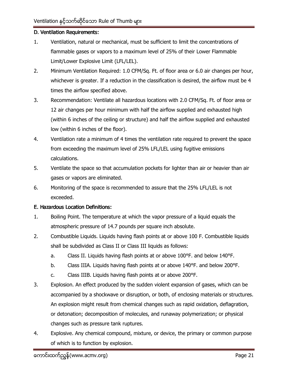#### D. Ventilation Requirements:

- Ventilation, natural or mechanical, must be sufficient to limit the concentrations of  $1.$ flammable gases or vapors to a maximum level of 25% of their Lower Flammable Limit/Lower Explosive Limit (LFL/LEL).
- $2.$ Minimum Ventilation Required: 1.0 CFM/Sq. Ft. of floor area or 6.0 air changes per hour, whichever is greater. If a reduction in the classification is desired, the airflow must be 4 times the airflow specified above.
- 3. Recommendation: Ventilate all hazardous locations with 2.0 CFM/Sq. Ft. of floor area or 12 air changes per hour minimum with half the airflow supplied and exhausted high (within 6 inches of the ceiling or structure) and half the airflow supplied and exhausted low (within 6 inches of the floor).
- 4. Ventilation rate a minimum of 4 times the ventilation rate required to prevent the space from exceeding the maximum level of 25% LFL/LEL using fugitive emissions calculations.
- 5. Ventilate the space so that accumulation pockets for lighter than air or heavier than air gases or vapors are eliminated.
- 6. Monitoring of the space is recommended to assure that the 25% LFL/LEL is not exceeded.

#### E. Hazardous Location Definitions:

- $1.$ Boiling Point. The temperature at which the vapor pressure of a liquid equals the atmospheric pressure of 14.7 pounds per square inch absolute.
- $2.$ Combustible Liquids. Liquids having flash points at or above 100 F. Combustible liquids shall be subdivided as Class II or Class III liquids as follows:
	- Class II. Liquids having flash points at or above 100°F. and below 140°F. a.
	- Class IIIA. Liquids having flash points at or above 140°F. and below 200°F. b.
	- Class IIIB. Liquids having flash points at or above 200°F.  $C_{1}$
- $3.$ Explosion. An effect produced by the sudden violent expansion of gases, which can be accompanied by a shockwave or disruption, or both, of enclosing materials or structures. An explosion might result from chemical changes such as rapid oxidation, deflagration, or detonation; decomposition of molecules, and runaway polymerization; or physical changes such as pressure tank ruptures.
- Explosive. Any chemical compound, mixture, or device, the primary or common purpose 4. of which is to function by explosion.